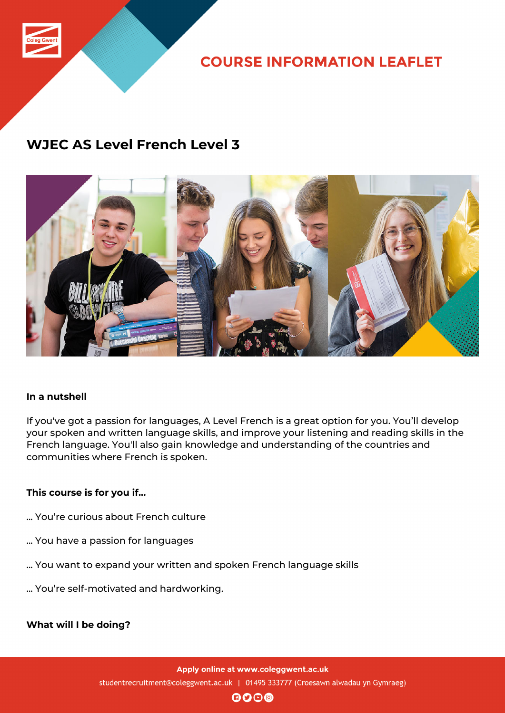

**COURSE INFORMATION LEAFLET** 

### **WJEC AS Level French Level 3**



#### **In a nutshell**

If you've got a passion for languages, A Level French is a great option for you. You'll develop your spoken and written language skills, and improve your listening and reading skills in the French language. You'll also gain knowledge and understanding of the countries and communities where French is spoken.

#### **This course is for you if...**

- ... You're curious about French culture
- ... You have a passion for languages
- ... You want to expand your written and spoken French language skills
- ... You're self-motivated and hardworking.

**What will I be doing?**

Apply online at www.coleggwent.ac.uk studentrecruitment@coleggwent.ac.uk | 01495 333777 (Croesawn alwadau yn Gymraeg)

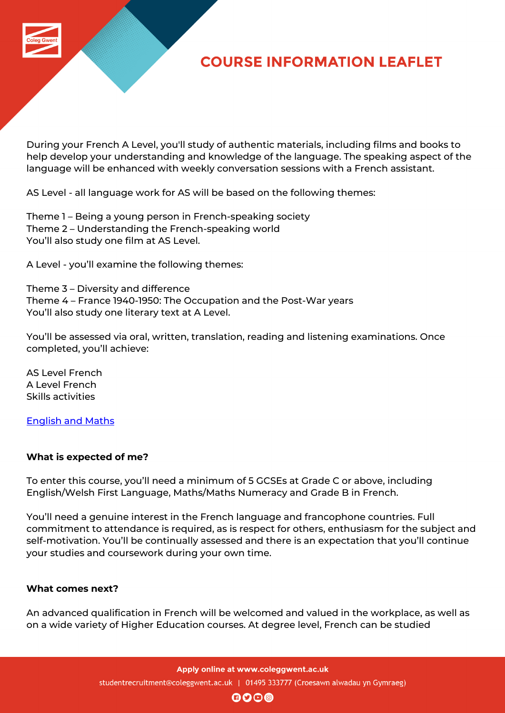

# **COURSE INFORMATION LEAFLET**

During your French A Level, you'll study of authentic materials, including films and books to help develop your understanding and knowledge of the language. The speaking aspect of the language will be enhanced with weekly conversation sessions with a French assistant.

AS Level - all language work for AS will be based on the following themes:

Theme 1 – Being a young person in French-speaking society Theme 2 – Understanding the French-speaking world You'll also study one film at AS Level.

A Level - you'll examine the following themes:

Theme 3 – Diversity and difference Theme 4 – France 1940-1950: The Occupation and the Post-War years You'll also study one literary text at A Level.

You'll be assessed via oral, written, translation, reading and listening examinations. Once completed, you'll achieve:

AS Level French A Level French Skills activities

English and Maths

#### **[What is expected](http://www.coleggwent.ac.uk/index.php?option=com_content&view=article&id=2314) of me?**

To enter this course, you'll need a minimum of 5 GCSEs at Grade C or above, including English/Welsh First Language, Maths/Maths Numeracy and Grade B in French.

You'll need a genuine interest in the French language and francophone countries. Full commitment to attendance is required, as is respect for others, enthusiasm for the subject and self-motivation. You'll be continually assessed and there is an expectation that you'll continue your studies and coursework during your own time.

#### **What comes next?**

An advanced qualification in French will be welcomed and valued in the workplace, as well as on a wide variety of Higher Education courses. At degree level, French can be studied

Apply online at www.coleggwent.ac.uk

studentrecruitment@coleggwent.ac.uk | 01495 333777 (Croesawn alwadau yn Gymraeg)

 $\mathbf{0}$  $\mathbf{0}$  $\mathbf{0}$